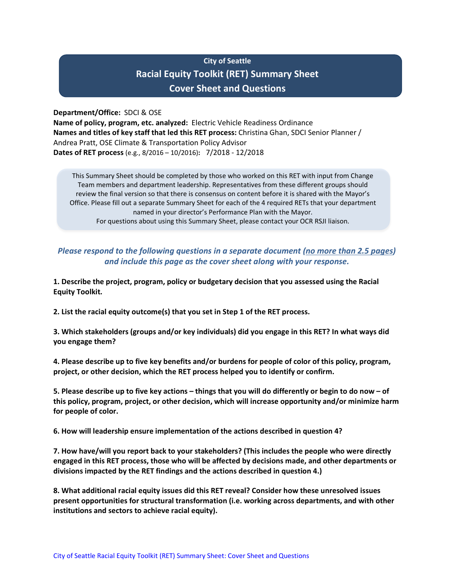# **City of Seattle Racial Equity Toolkit (RET) Summary Sheet Cover Sheet and Questions**

**Department/Office:** SDCI & OSE

**Name of policy, program, etc. analyzed:** Electric Vehicle Readiness Ordinance **Names and titles of key staff that led this RET process:** Christina Ghan, SDCI Senior Planner / Andrea Pratt, OSE Climate & Transportation Policy Advisor **Dates of RET process** (e.g., 8/2016 – 10/2016)**:** 7/2018 - 12/2018

This Summary Sheet should be completed by those who worked on this RET with input from Change Team members and department leadership. Representatives from these different groups should review the final version so that there is consensus on content before it is shared with the Mayor's Office. Please fill out a separate Summary Sheet for each of the 4 required RETs that your department named in your director's Performance Plan with the Mayor. For questions about using this Summary Sheet, please contact your OCR RSJI liaison.

# *Please respond to the following questions in a separate document (no more than 2.5 pages) and include this page as the cover sheet along with your response.*

**1. Describe the project, program, policy or budgetary decision that you assessed using the Racial Equity Toolkit.** 

**2. List the racial equity outcome(s) that you set in Step 1 of the RET process.** 

**3. Which stakeholders (groups and/or key individuals) did you engage in this RET? In what ways did you engage them?**

**4. Please describe up to five key benefits and/or burdens for people of color of this policy, program, project, or other decision, which the RET process helped you to identify or confirm.** 

**5. Please describe up to five key actions – things that you will do differently or begin to do now – of this policy, program, project, or other decision, which will increase opportunity and/or minimize harm for people of color.**

**6. How will leadership ensure implementation of the actions described in question 4?**

**7. How have/will you report back to your stakeholders? (This includes the people who were directly engaged in this RET process, those who will be affected by decisions made, and other departments or divisions impacted by the RET findings and the actions described in question 4.)**

**8. What additional racial equity issues did this RET reveal? Consider how these unresolved issues present opportunities for structural transformation (i.e. working across departments, and with other institutions and sectors to achieve racial equity).**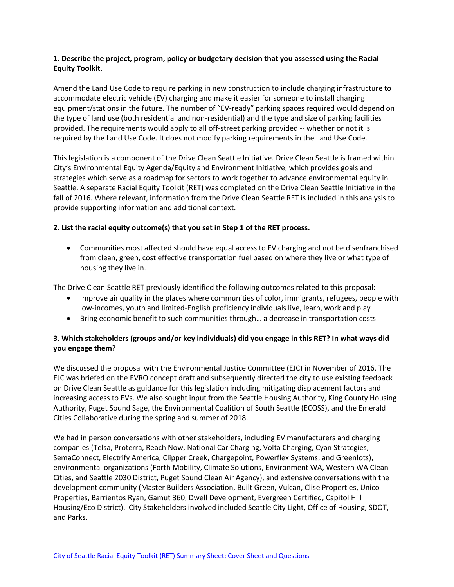#### **1. Describe the project, program, policy or budgetary decision that you assessed using the Racial Equity Toolkit.**

Amend the Land Use Code to require parking in new construction to include charging infrastructure to accommodate electric vehicle (EV) charging and make it easier for someone to install charging equipment/stations in the future. The number of "EV-ready" parking spaces required would depend on the type of land use (both residential and non-residential) and the type and size of parking facilities provided. The requirements would apply to all off-street parking provided -- whether or not it is required by the Land Use Code. It does not modify parking requirements in the Land Use Code.

This legislation is a component of the Drive Clean Seattle Initiative. Drive Clean Seattle is framed within City's Environmental Equity Agenda/Equity and Environment Initiative, which provides goals and strategies which serve as a roadmap for sectors to work together to advance environmental equity in Seattle. A separate Racial Equity Toolkit (RET) was completed on the Drive Clean Seattle Initiative in the fall of 2016. Where relevant, information from the Drive Clean Seattle RET is included in this analysis to provide supporting information and additional context.

#### **2. List the racial equity outcome(s) that you set in Step 1 of the RET process.**

• Communities most affected should have equal access to EV charging and not be disenfranchised from clean, green, cost effective transportation fuel based on where they live or what type of housing they live in.

The Drive Clean Seattle RET previously identified the following outcomes related to this proposal:

- Improve air quality in the places where communities of color, immigrants, refugees, people with low-incomes, youth and limited-English proficiency individuals live, learn, work and play
- Bring economic benefit to such communities through… a decrease in transportation costs

#### **3. Which stakeholders (groups and/or key individuals) did you engage in this RET? In what ways did you engage them?**

We discussed the proposal with the Environmental Justice Committee (EJC) in November of 2016. The EJC was briefed on the EVRO concept draft and subsequently directed the city to use existing feedback on Drive Clean Seattle as guidance for this legislation including mitigating displacement factors and increasing access to EVs. We also sought input from the Seattle Housing Authority, King County Housing Authority, Puget Sound Sage, the Environmental Coalition of South Seattle (ECOSS), and the Emerald Cities Collaborative during the spring and summer of 2018.

We had in person conversations with other stakeholders, including EV manufacturers and charging companies (Telsa, Proterra, Reach Now, National Car Charging, Volta Charging, Cyan Strategies, SemaConnect, Electrify America, Clipper Creek, Chargepoint, Powerflex Systems, and Greenlots), environmental organizations (Forth Mobility, Climate Solutions, Environment WA, Western WA Clean Cities, and Seattle 2030 District, Puget Sound Clean Air Agency), and extensive conversations with the development community (Master Builders Association, Built Green, Vulcan, Clise Properties, Unico Properties, Barrientos Ryan, Gamut 360, Dwell Development, Evergreen Certified, Capitol Hill Housing/Eco District). City Stakeholders involved included Seattle City Light, Office of Housing, SDOT, and Parks.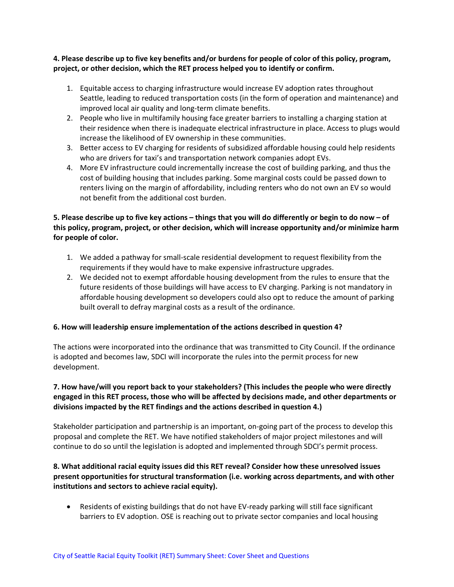#### **4. Please describe up to five key benefits and/or burdens for people of color of this policy, program, project, or other decision, which the RET process helped you to identify or confirm.**

- 1. Equitable access to charging infrastructure would increase EV adoption rates throughout Seattle, leading to reduced transportation costs (in the form of operation and maintenance) and improved local air quality and long-term climate benefits.
- 2. People who live in multifamily housing face greater barriers to installing a charging station at their residence when there is inadequate electrical infrastructure in place. Access to plugs would increase the likelihood of EV ownership in these communities.
- 3. Better access to EV charging for residents of subsidized affordable housing could help residents who are drivers for taxi's and transportation network companies adopt EVs.
- 4. More EV infrastructure could incrementally increase the cost of building parking, and thus the cost of building housing that includes parking. Some marginal costs could be passed down to renters living on the margin of affordability, including renters who do not own an EV so would not benefit from the additional cost burden.

# **5. Please describe up to five key actions – things that you will do differently or begin to do now – of this policy, program, project, or other decision, which will increase opportunity and/or minimize harm for people of color.**

- 1. We added a pathway for small-scale residential development to request flexibility from the requirements if they would have to make expensive infrastructure upgrades.
- 2. We decided not to exempt affordable housing development from the rules to ensure that the future residents of those buildings will have access to EV charging. Parking is not mandatory in affordable housing development so developers could also opt to reduce the amount of parking built overall to defray marginal costs as a result of the ordinance.

# **6. How will leadership ensure implementation of the actions described in question 4?**

The actions were incorporated into the ordinance that was transmitted to City Council. If the ordinance is adopted and becomes law, SDCI will incorporate the rules into the permit process for new development.

# **7. How have/will you report back to your stakeholders? (This includes the people who were directly engaged in this RET process, those who will be affected by decisions made, and other departments or divisions impacted by the RET findings and the actions described in question 4.)**

Stakeholder participation and partnership is an important, on-going part of the process to develop this proposal and complete the RET. We have notified stakeholders of major project milestones and will continue to do so until the legislation is adopted and implemented through SDCI's permit process.

#### **8. What additional racial equity issues did this RET reveal? Consider how these unresolved issues present opportunities for structural transformation (i.e. working across departments, and with other institutions and sectors to achieve racial equity).**

• Residents of existing buildings that do not have EV-ready parking will still face significant barriers to EV adoption. OSE is reaching out to private sector companies and local housing